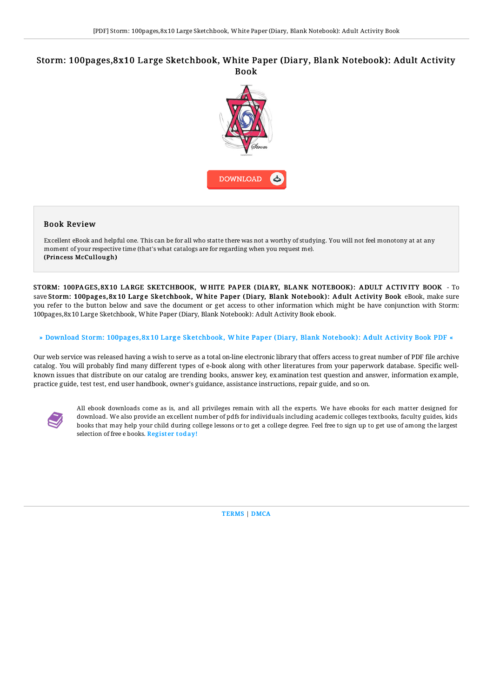## Storm: 100pages,8x10 Large Sketchbook, White Paper (Diary, Blank Notebook): Adult Activity Book



## Book Review

Excellent eBook and helpful one. This can be for all who statte there was not a worthy of studying. You will not feel monotony at at any moment of your respective time (that's what catalogs are for regarding when you request me). (Princess McCullough)

STORM: 100PA GES,8X10 LARGE SKETCHBOOK, W HITE PAPER (DIARY, BLANK NOTEBOOK): A DULT ACTIV ITY BOOK - To save Storm: 100pages, 8x 10 Large Sketchbook, White Paper (Diary, Blank Notebook): Adult Activity Book eBook, make sure you refer to the button below and save the document or get access to other information which might be have conjunction with Storm: 100pages,8x10 Large Sketchbook, White Paper (Diary, Blank Notebook): Adult Activity Book ebook.

## » Download Storm: 100pages, 8x 10 Large [Sketchbook,](http://bookera.tech/storm-100pages-8x10-large-sketchbook-white-paper.html) White Paper (Diary, Blank Notebook): Adult Activity Book PDF «

Our web service was released having a wish to serve as a total on-line electronic library that offers access to great number of PDF file archive catalog. You will probably find many different types of e-book along with other literatures from your paperwork database. Specific wellknown issues that distribute on our catalog are trending books, answer key, examination test question and answer, information example, practice guide, test test, end user handbook, owner's guidance, assistance instructions, repair guide, and so on.



All ebook downloads come as is, and all privileges remain with all the experts. We have ebooks for each matter designed for download. We also provide an excellent number of pdfs for individuals including academic colleges textbooks, faculty guides, kids books that may help your child during college lessons or to get a college degree. Feel free to sign up to get use of among the largest selection of free e books. [Regist](http://bookera.tech/storm-100pages-8x10-large-sketchbook-white-paper.html)er today!